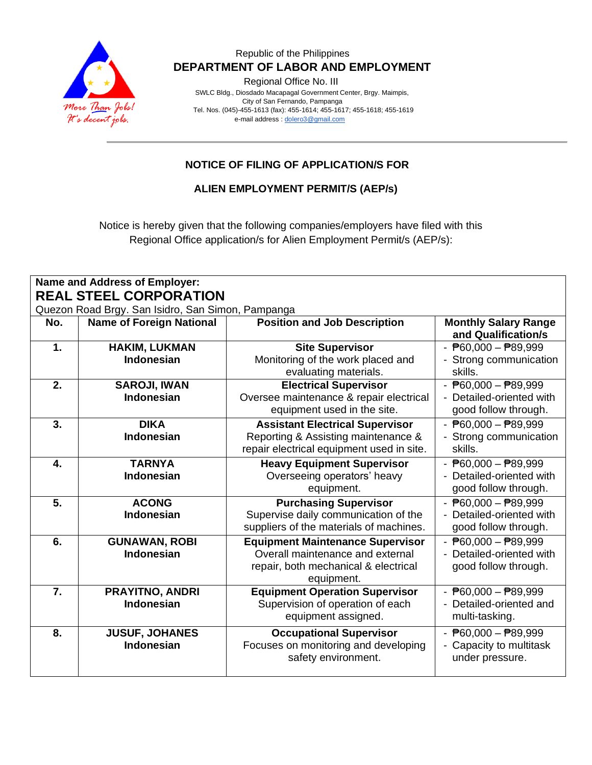

Regional Office No. III

 SWLC Bldg., Diosdado Macapagal Government Center, Brgy. Maimpis, City of San Fernando, Pampanga Tel. Nos. (045)-455-1613 (fax): 455-1614; 455-1617; 455-1618; 455-1619 e-mail address [: dolero3@gmail.com](mailto:dolero3@gmail.com)

## **NOTICE OF FILING OF APPLICATION/S FOR**

**ALIEN EMPLOYMENT PERMIT/S (AEP/s)**

Notice is hereby given that the following companies/employers have filed with this Regional Office application/s for Alien Employment Permit/s (AEP/s):

| <b>Name and Address of Employer:</b><br><b>REAL STEEL CORPORATION</b> |                                                   |                                           |                                            |  |
|-----------------------------------------------------------------------|---------------------------------------------------|-------------------------------------------|--------------------------------------------|--|
|                                                                       |                                                   |                                           |                                            |  |
|                                                                       | Quezon Road Brgy. San Isidro, San Simon, Pampanga |                                           |                                            |  |
| No.                                                                   | <b>Name of Foreign National</b>                   | <b>Position and Job Description</b>       | <b>Monthly Salary Range</b>                |  |
|                                                                       |                                                   |                                           | and Qualification/s                        |  |
| $\mathbf{1}$                                                          | <b>HAKIM, LUKMAN</b>                              | <b>Site Supervisor</b>                    | $ \overline{P}60,000 - \overline{P}89,999$ |  |
|                                                                       | <b>Indonesian</b>                                 | Monitoring of the work placed and         | - Strong communication                     |  |
|                                                                       |                                                   | evaluating materials.                     | skills.                                    |  |
| 2.                                                                    | <b>SAROJI, IWAN</b>                               | <b>Electrical Supervisor</b>              | $ \overline{P}60,000 - \overline{P}89,999$ |  |
|                                                                       | <b>Indonesian</b>                                 | Oversee maintenance & repair electrical   | - Detailed-oriented with                   |  |
|                                                                       |                                                   | equipment used in the site.               | good follow through.                       |  |
| 3.                                                                    | <b>DIKA</b>                                       | <b>Assistant Electrical Supervisor</b>    | $ \overline{P}60,000 - \overline{P}89,999$ |  |
|                                                                       | Indonesian                                        | Reporting & Assisting maintenance &       | - Strong communication                     |  |
|                                                                       |                                                   | repair electrical equipment used in site. | skills.                                    |  |
| $\overline{4}$ .                                                      | <b>TARNYA</b>                                     | <b>Heavy Equipment Supervisor</b>         | $ \overline{P}60,000 - \overline{P}89,999$ |  |
|                                                                       | <b>Indonesian</b>                                 | Overseeing operators' heavy               | - Detailed-oriented with                   |  |
|                                                                       |                                                   | equipment.                                | good follow through.                       |  |
| 5.                                                                    | <b>ACONG</b>                                      | <b>Purchasing Supervisor</b>              | $ \overline{P}60,000 - \overline{P}89,999$ |  |
|                                                                       | <b>Indonesian</b>                                 | Supervise daily communication of the      | - Detailed-oriented with                   |  |
|                                                                       |                                                   | suppliers of the materials of machines.   | good follow through.                       |  |
| 6.                                                                    | <b>GUNAWAN, ROBI</b>                              | <b>Equipment Maintenance Supervisor</b>   | $ \overline{P}60,000 - \overline{P}89,999$ |  |
|                                                                       | <b>Indonesian</b>                                 | Overall maintenance and external          | - Detailed-oriented with                   |  |
|                                                                       |                                                   | repair, both mechanical & electrical      | good follow through.                       |  |
|                                                                       |                                                   | equipment.                                |                                            |  |
| 7.                                                                    | PRAYITNO, ANDRI                                   | <b>Equipment Operation Supervisor</b>     | $ \overline{P}60,000 - \overline{P}89,999$ |  |
|                                                                       | <b>Indonesian</b>                                 | Supervision of operation of each          | - Detailed-oriented and                    |  |
|                                                                       |                                                   | equipment assigned.                       | multi-tasking.                             |  |
| 8.                                                                    | <b>JUSUF, JOHANES</b>                             | <b>Occupational Supervisor</b>            | $ \overline{P}60,000 - \overline{P}89,999$ |  |
|                                                                       | Indonesian                                        | Focuses on monitoring and developing      | - Capacity to multitask                    |  |
|                                                                       |                                                   | safety environment.                       | under pressure.                            |  |
|                                                                       |                                                   |                                           |                                            |  |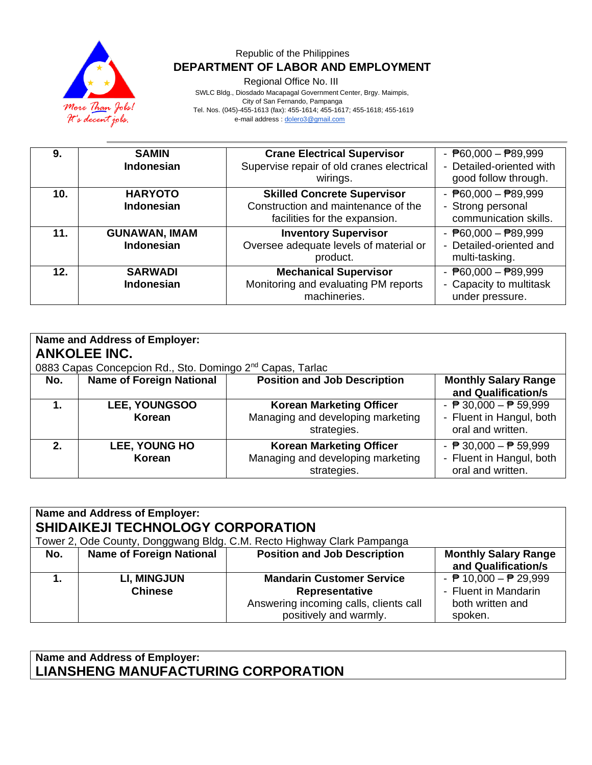

Regional Office No. III

 SWLC Bldg., Diosdado Macapagal Government Center, Brgy. Maimpis, City of San Fernando, Pampanga Tel. Nos. (045)-455-1613 (fax): 455-1614; 455-1617; 455-1618; 455-1619 e-mail address [: dolero3@gmail.com](mailto:dolero3@gmail.com)

| 9.  | <b>SAMIN</b><br><b>Indonesian</b>         | <b>Crane Electrical Supervisor</b><br>Supervise repair of old cranes electrical<br>wirings.                | $ \overline{P}60,000 - \overline{P}89,999$<br>- Detailed-oriented with<br>good follow through. |
|-----|-------------------------------------------|------------------------------------------------------------------------------------------------------------|------------------------------------------------------------------------------------------------|
| 10. | <b>HARYOTO</b><br><b>Indonesian</b>       | <b>Skilled Concrete Supervisor</b><br>Construction and maintenance of the<br>facilities for the expansion. | $ \overline{P}60,000 - \overline{P}89,999$<br>- Strong personal<br>communication skills.       |
| 11. | <b>GUNAWAN, IMAM</b><br><b>Indonesian</b> | <b>Inventory Supervisor</b><br>Oversee adequate levels of material or<br>product.                          | - $P60,000 - P89,999$<br>- Detailed-oriented and<br>multi-tasking.                             |
| 12. | <b>SARWADI</b><br><b>Indonesian</b>       | <b>Mechanical Supervisor</b><br>Monitoring and evaluating PM reports<br>machineries.                       | $ \overline{P}60,000 - \overline{P}89,999$<br>- Capacity to multitask<br>under pressure.       |

| Name and Address of Employer:<br><b>ANKOLEE INC.</b><br>0883 Capas Concepcion Rd., Sto. Domingo 2 <sup>nd</sup> Capas, Tarlac |                                 |                                                                                     |                                                                                                  |
|-------------------------------------------------------------------------------------------------------------------------------|---------------------------------|-------------------------------------------------------------------------------------|--------------------------------------------------------------------------------------------------|
| No.                                                                                                                           | <b>Name of Foreign National</b> | <b>Position and Job Description</b>                                                 | <b>Monthly Salary Range</b><br>and Qualification/s                                               |
|                                                                                                                               | <b>LEE, YOUNGSOO</b><br>Korean  | <b>Korean Marketing Officer</b><br>Managing and developing marketing<br>strategies. | - $\overline{P}$ 30,000 - $\overline{P}$ 59,999<br>- Fluent in Hangul, both<br>oral and written. |
| 2.                                                                                                                            | <b>LEE, YOUNG HO</b><br>Korean  | <b>Korean Marketing Officer</b><br>Managing and developing marketing<br>strategies. | - $\overline{P}$ 30,000 - $\overline{P}$ 59,999<br>- Fluent in Hangul, both<br>oral and written. |

| <b>Name and Address of Employer:</b><br><b>SHIDAIKEJI TECHNOLOGY CORPORATION</b><br>Tower 2, Ode County, Donggwang Bldg. C.M. Recto Highway Clark Pampanga |                                      |                                                                                                                        |                                                                                                        |
|------------------------------------------------------------------------------------------------------------------------------------------------------------|--------------------------------------|------------------------------------------------------------------------------------------------------------------------|--------------------------------------------------------------------------------------------------------|
| No.                                                                                                                                                        | <b>Name of Foreign National</b>      | <b>Position and Job Description</b>                                                                                    | <b>Monthly Salary Range</b><br>and Qualification/s                                                     |
|                                                                                                                                                            | <b>LI, MINGJUN</b><br><b>Chinese</b> | <b>Mandarin Customer Service</b><br>Representative<br>Answering incoming calls, clients call<br>positively and warmly. | - $\overline{P}$ 10,000 - $\overline{P}$ 29,999<br>- Fluent in Mandarin<br>both written and<br>spoken. |

**Name and Address of Employer: LIANSHENG MANUFACTURING CORPORATION**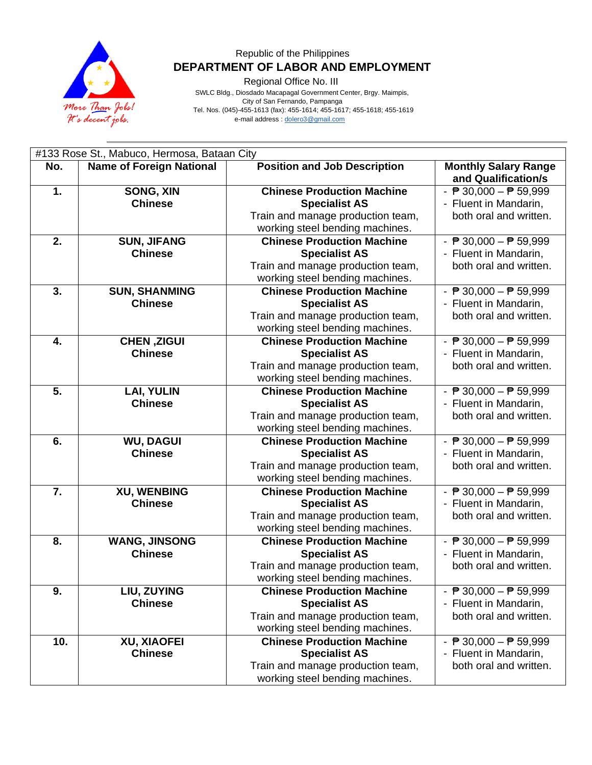

Regional Office No. III

 SWLC Bldg., Diosdado Macapagal Government Center, Brgy. Maimpis, City of San Fernando, Pampanga Tel. Nos. (045)-455-1613 (fax): 455-1614; 455-1617; 455-1618; 455-1619 e-mail address [: dolero3@gmail.com](mailto:dolero3@gmail.com)

#133 Rose St., Mabuco, Hermosa, Bataan City **No. Name of Foreign National Position and Job Description Monthly Salary Range and Qualification/s 1. SONG, XIN Chinese Chinese Production Machine Specialist AS** Train and manage production team, working steel bending machines.  $\overline{P}$  30.000  $\overline{P}$  59.999 - Fluent in Mandarin, both oral and written. **2. SUN, JIFANG Chinese Chinese Production Machine Specialist AS** Train and manage production team, working steel bending machines.  $\overline{P}$  30.000  $\overline{P}$  59.999 - Fluent in Mandarin, both oral and written. **3. SUN, SHANMING Chinese Chinese Production Machine Specialist AS** Train and manage production team, working steel bending machines. - ₱ 30,000 – ₱ 59,999 - Fluent in Mandarin, both oral and written. **4. CHEN ,ZIGUI Chinese Chinese Production Machine Specialist AS** Train and manage production team, working steel bending machines.  $\overline{P}$  30.000  $\overline{P}$  59.999 - Fluent in Mandarin, both oral and written. **5. LAI, YULIN Chinese Chinese Production Machine Specialist AS** Train and manage production team, working steel bending machines. - ₱ 30,000 – ₱ 59,999 - Fluent in Mandarin, both oral and written. **6. WU, DAGUI Chinese Chinese Production Machine Specialist AS** Train and manage production team, working steel bending machines. - ₱ 30,000 – ₱ 59,999 - Fluent in Mandarin, both oral and written. **7. XU, WENBING Chinese Chinese Production Machine Specialist AS** Train and manage production team, working steel bending machines.  $\overline{P}$  30,000  $\overline{P}$  59,999 - Fluent in Mandarin, both oral and written. **8. WANG, JINSONG Chinese Chinese Production Machine Specialist AS** Train and manage production team, working steel bending machines. - ₱ 30,000 – ₱ 59,999 - Fluent in Mandarin, both oral and written. **9. LIU, ZUYING Chinese Chinese Production Machine Specialist AS** Train and manage production team, working steel bending machines.  $\overline{P}$  30,000  $\overline{P}$  59,999 - Fluent in Mandarin, both oral and written. **10. XU, XIAOFEI Chinese Chinese Production Machine Specialist AS** Train and manage production team, working steel bending machines. - ₱ 30,000 – ₱ 59,999 - Fluent in Mandarin, both oral and written.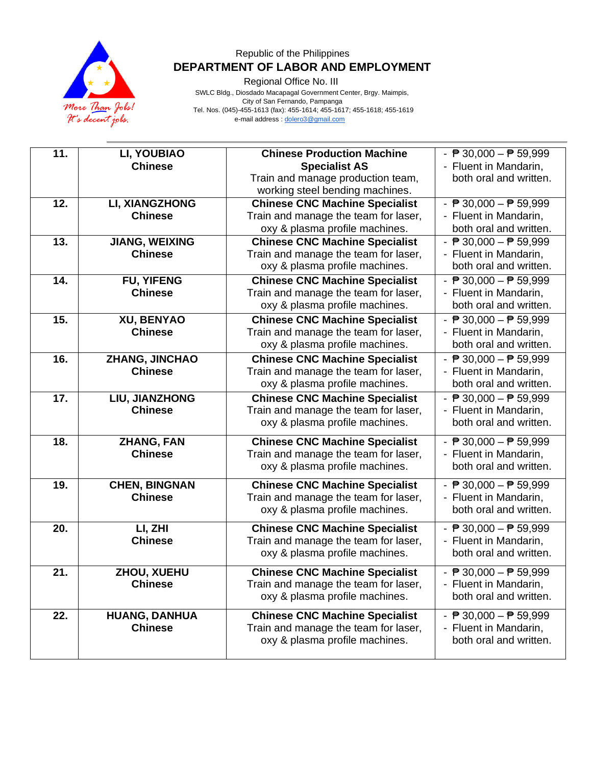

Regional Office No. III

 SWLC Bldg., Diosdado Macapagal Government Center, Brgy. Maimpis, City of San Fernando, Pampanga Tel. Nos. (045)-455-1613 (fax): 455-1614; 455-1617; 455-1618; 455-1619 e-mail address [: dolero3@gmail.com](mailto:dolero3@gmail.com)

| $\overline{11}$ . | LI, YOUBIAO<br><b>Chinese</b>           | <b>Chinese Production Machine</b><br><b>Specialist AS</b>                                                       | - $\overline{P}$ 30,000 - $\overline{P}$ 59,999<br>- Fluent in Mandarin,                           |
|-------------------|-----------------------------------------|-----------------------------------------------------------------------------------------------------------------|----------------------------------------------------------------------------------------------------|
|                   |                                         | Train and manage production team,<br>working steel bending machines.                                            | both oral and written.                                                                             |
| 12.               | <b>LI, XIANGZHONG</b><br><b>Chinese</b> | <b>Chinese CNC Machine Specialist</b><br>Train and manage the team for laser,<br>oxy & plasma profile machines. | - $\overline{P}$ 30,000 - $\overline{P}$ 59,999<br>- Fluent in Mandarin,<br>both oral and written. |
| 13.               | <b>JIANG, WEIXING</b><br><b>Chinese</b> | <b>Chinese CNC Machine Specialist</b><br>Train and manage the team for laser,<br>oxy & plasma profile machines. | - $\overline{P}$ 30,000 - $\overline{P}$ 59,999<br>- Fluent in Mandarin,<br>both oral and written. |
| 14.               | <b>FU, YIFENG</b><br><b>Chinese</b>     | <b>Chinese CNC Machine Specialist</b><br>Train and manage the team for laser,<br>oxy & plasma profile machines. | - $\sqrt{P}$ 30,000 - $\sqrt{P}$ 59,999<br>- Fluent in Mandarin,<br>both oral and written.         |
| 15.               | XU, BENYAO<br><b>Chinese</b>            | <b>Chinese CNC Machine Specialist</b><br>Train and manage the team for laser,<br>oxy & plasma profile machines. | - $\overline{P}$ 30,000 - $\overline{P}$ 59,999<br>- Fluent in Mandarin,<br>both oral and written. |
| 16.               | ZHANG, JINCHAO<br><b>Chinese</b>        | <b>Chinese CNC Machine Specialist</b><br>Train and manage the team for laser,<br>oxy & plasma profile machines. | - $\overline{P}$ 30,000 - $\overline{P}$ 59,999<br>- Fluent in Mandarin,<br>both oral and written. |
| 17.               | LIU, JIANZHONG<br><b>Chinese</b>        | <b>Chinese CNC Machine Specialist</b><br>Train and manage the team for laser,<br>oxy & plasma profile machines. | - $P$ 30,000 - $P$ 59,999<br>- Fluent in Mandarin,<br>both oral and written.                       |
| 18.               | <b>ZHANG, FAN</b><br><b>Chinese</b>     | <b>Chinese CNC Machine Specialist</b><br>Train and manage the team for laser,<br>oxy & plasma profile machines. | - $\overline{P}$ 30,000 - $\overline{P}$ 59,999<br>- Fluent in Mandarin,<br>both oral and written. |
| 19.               | <b>CHEN, BINGNAN</b><br><b>Chinese</b>  | <b>Chinese CNC Machine Specialist</b><br>Train and manage the team for laser,<br>oxy & plasma profile machines. | - $\overline{P}$ 30,000 - $\overline{P}$ 59,999<br>- Fluent in Mandarin,<br>both oral and written. |
| 20.               | LI, ZHI<br><b>Chinese</b>               | <b>Chinese CNC Machine Specialist</b><br>Train and manage the team for laser,<br>oxy & plasma profile machines. | - $\overline{P}$ 30,000 - $\overline{P}$ 59,999<br>- Fluent in Mandarin,<br>both oral and written. |
| 21.               | ZHOU, XUEHU<br><b>Chinese</b>           | <b>Chinese CNC Machine Specialist</b><br>Train and manage the team for laser,<br>oxy & plasma profile machines. | - $\overline{P}$ 30,000 - $\overline{P}$ 59,999<br>- Fluent in Mandarin,<br>both oral and written. |
| 22.               | <b>HUANG, DANHUA</b><br><b>Chinese</b>  | <b>Chinese CNC Machine Specialist</b><br>Train and manage the team for laser,<br>oxy & plasma profile machines. | - $\overline{P}$ 30,000 - $\overline{P}$ 59,999<br>- Fluent in Mandarin,<br>both oral and written. |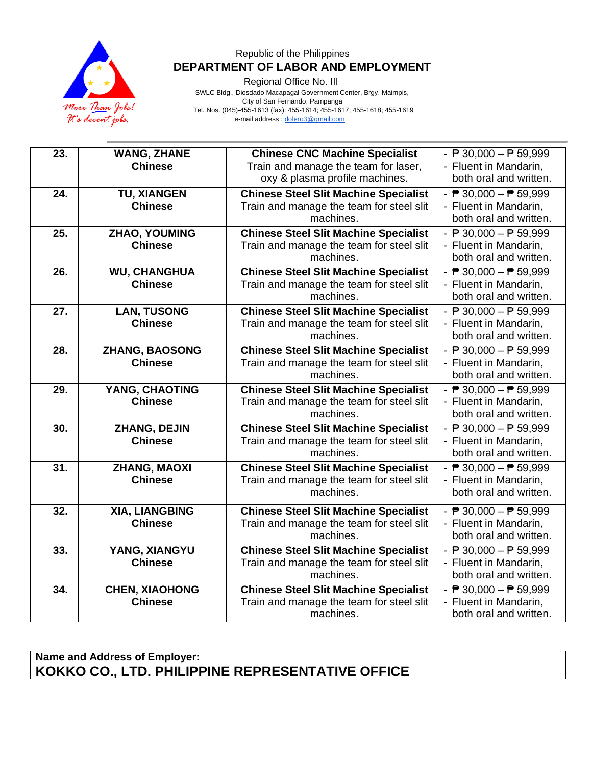

Regional Office No. III

 SWLC Bldg., Diosdado Macapagal Government Center, Brgy. Maimpis, City of San Fernando, Pampanga Tel. Nos. (045)-455-1613 (fax): 455-1614; 455-1617; 455-1618; 455-1619 e-mail address [: dolero3@gmail.com](mailto:dolero3@gmail.com)

| 23. | <b>WANG, ZHANE</b>    | <b>Chinese CNC Machine Specialist</b>        | - $\sqrt{P}$ 30,000 - $\sqrt{P}$ 59,999                     |
|-----|-----------------------|----------------------------------------------|-------------------------------------------------------------|
|     | <b>Chinese</b>        | Train and manage the team for laser,         | - Fluent in Mandarin,                                       |
|     |                       | oxy & plasma profile machines.               | both oral and written.                                      |
| 24. | <b>TU, XIANGEN</b>    | <b>Chinese Steel Slit Machine Specialist</b> | - $P$ 30,000 - $P$ 59,999                                   |
|     | <b>Chinese</b>        | Train and manage the team for steel slit     | - Fluent in Mandarin,                                       |
|     |                       | machines.                                    | both oral and written.                                      |
| 25. | ZHAO, YOUMING         | <b>Chinese Steel Slit Machine Specialist</b> | $\overline{.}$ $\overline{P}$ 30,000 $ \overline{P}$ 59,999 |
|     | <b>Chinese</b>        | Train and manage the team for steel slit     | - Fluent in Mandarin,                                       |
|     |                       | machines.                                    | both oral and written.                                      |
| 26. | <b>WU, CHANGHUA</b>   | <b>Chinese Steel Slit Machine Specialist</b> | $ \overline{P}$ 30,000 $ \overline{P}$ 59,999               |
|     | <b>Chinese</b>        | Train and manage the team for steel slit     | - Fluent in Mandarin,                                       |
|     |                       | machines.                                    | both oral and written.                                      |
| 27. | <b>LAN, TUSONG</b>    | <b>Chinese Steel Slit Machine Specialist</b> | - $\overline{P}$ 30,000 - $\overline{P}$ 59,999             |
|     | <b>Chinese</b>        | Train and manage the team for steel slit     | - Fluent in Mandarin,                                       |
|     |                       | machines.                                    | both oral and written.                                      |
| 28. | <b>ZHANG, BAOSONG</b> | <b>Chinese Steel Slit Machine Specialist</b> | - $\overline{P}$ 30,000 - $\overline{P}$ 59,999             |
|     | <b>Chinese</b>        | Train and manage the team for steel slit     | - Fluent in Mandarin,                                       |
|     |                       | machines.                                    | both oral and written.                                      |
| 29. | YANG, CHAOTING        | <b>Chinese Steel Slit Machine Specialist</b> | - $\overline{P}$ 30,000 - $\overline{P}$ 59,999             |
|     | <b>Chinese</b>        | Train and manage the team for steel slit     | - Fluent in Mandarin,                                       |
|     |                       | machines.                                    | both oral and written.                                      |
| 30. | ZHANG, DEJIN          | <b>Chinese Steel Slit Machine Specialist</b> | - $\overline{P}$ 30,000 - $\overline{P}$ 59,999             |
|     | <b>Chinese</b>        | Train and manage the team for steel slit     | - Fluent in Mandarin,                                       |
|     |                       | machines.                                    | both oral and written.                                      |
| 31. | <b>ZHANG, MAOXI</b>   | <b>Chinese Steel Slit Machine Specialist</b> | - $\overline{P}$ 30,000 - $\overline{P}$ 59,999             |
|     | <b>Chinese</b>        | Train and manage the team for steel slit     | - Fluent in Mandarin,                                       |
|     |                       | machines.                                    | both oral and written.                                      |
| 32. | XIA, LIANGBING        | <b>Chinese Steel Slit Machine Specialist</b> | - $\overline{P}$ 30,000 - $\overline{P}$ 59,999             |
|     | <b>Chinese</b>        | Train and manage the team for steel slit     | - Fluent in Mandarin,                                       |
|     |                       | machines.                                    | both oral and written.                                      |
| 33. | YANG, XIANGYU         | <b>Chinese Steel Slit Machine Specialist</b> | - $\overline{P}$ 30,000 - $\overline{P}$ 59,999             |
|     | <b>Chinese</b>        | Train and manage the team for steel slit     | - Fluent in Mandarin,                                       |
|     |                       | machines.                                    | both oral and written.                                      |
| 34. | <b>CHEN, XIAOHONG</b> | <b>Chinese Steel Slit Machine Specialist</b> | - $\overline{P}$ 30,000 - $\overline{P}$ 59,999             |
|     | <b>Chinese</b>        | Train and manage the team for steel slit     | - Fluent in Mandarin,                                       |
|     |                       | machines.                                    | both oral and written.                                      |

# **Name and Address of Employer: KOKKO CO., LTD. PHILIPPINE REPRESENTATIVE OFFICE**